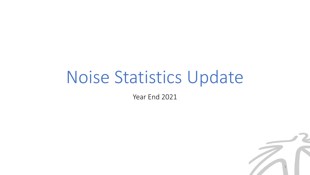# Noise Statistics Update

Year End 2021

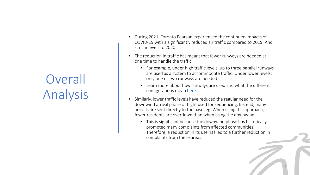## **Overall** Analysis

- During 2021, Toronto Pearson experienced the continued impacts of COVID-19 with a significantly reduced air traffic compared to 2019. And similar levels to 2020.
- The reduction in traffic has meant that fewer runways are needed at one time to handle the traffic.
	- For example, under high traffic levels, up to three parallel runways are used as a system to accommodate traffic. Under lower levels, only one or two runways are needed.
	- Learn more about how runways are used and what the different configurations mean [here.](https://www.torontopearson.com/en/community/noise-management/understanding-airport-noise/runways)
- Similarly, lower traffic levels have reduced the regular need for the downwind arrival phase of flight used for sequencing. Instead, many arrivals are sent directly to the base leg. When using this approach, fewer residents are overflown than when using the downwind.
	- This is significant because the downwind phase has historically prompted many complaints from affected communities. Therefore, a reduction in its use has led to a further reduction in complaints from these areas.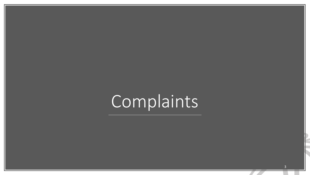# Complaints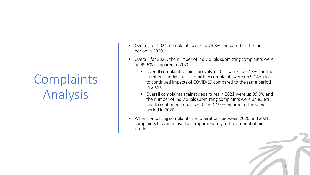# Complaints Analysis

- Overall, for 2021, complaints were up 74.8% compared to the same period in 2020.
- Overall, for 2021, the number of individuals submitting complaints were up 99.6% compared to 2020.
	- Overall complaints against arrivals in 2021 were up 57.3% and the number of individuals submitting complaints were up 97.4% due to continued impacts of COVID-19 compared to the same period in 2020.
	- Overall complaints against departures in 2021 were up 99.9% and the number of individuals submitting complaints were up 85.8% due to continued impacts of COVID-19 compared to the same period in 2020.
- When comparing complaints and operations between 2020 and 2021, complaints have increased disproportionately to the amount of air traffic.

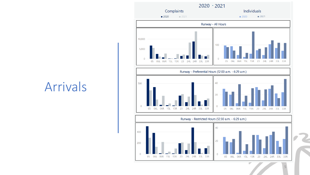### Arrivals

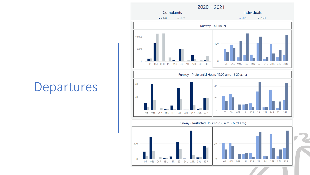### Departures



 $\overline{0}$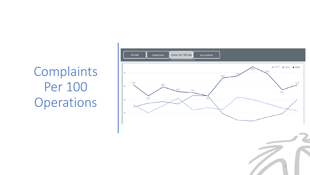Complaints Per 100 Operations

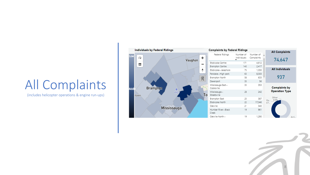### All Complaints

(includes helicopter operations & engine run-ups)

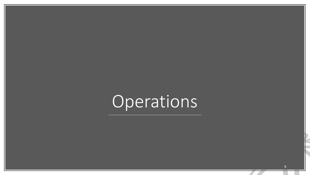# Operations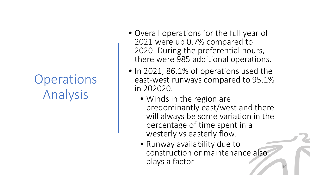## **Operations** Analysis

- Overall operations for the full year of 2021 were up 0.7% compared to 2020. During the preferential hours, there were 985 additional operations.
- In 2021, 86.1% of operations used the east-west runways compared to 95.1% in 202020.
	- Winds in the region are predominantly east/west and there will always be some variation in the percentage of time spent in a westerly vs easterly flow.
	- Runway availability due to construction or maintenance also plays a factor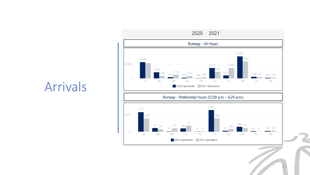

### Arrivals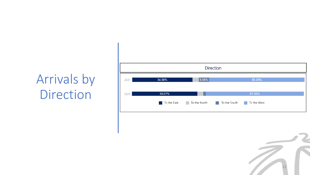## Arrivals by Direction

|      |             |                                                   | <b>Direction</b> |             |  |
|------|-------------|---------------------------------------------------|------------------|-------------|--|
| 2021 | 34.98%      | 5.95%                                             |                  | 55.39%      |  |
| 2020 | 38.07%      |                                                   |                  | 57.03%      |  |
|      | To the East | To the North <b>The Theory</b><br>$\sim$ 10 $\pm$ | To the South T   | To the West |  |

12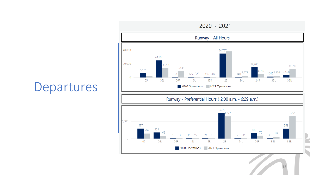

### Departures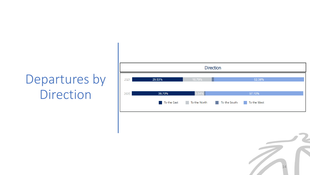## Departures by Direction

|      |             |                           | <b>Direction</b> |                                |  |
|------|-------------|---------------------------|------------------|--------------------------------|--|
| 2021 | 29.53%      | 16.79%                    |                  | 52.38%                         |  |
| 2020 | 36.70%      | 5.54%                     |                  | 57.10%                         |  |
|      | To the East | To the North To the South |                  | To the West<br><b>Contract</b> |  |

14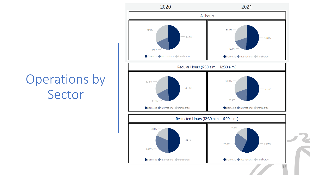## Operations by Sector

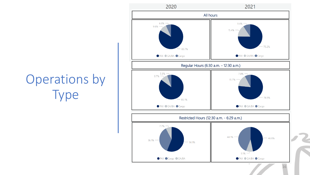

## Operations by Type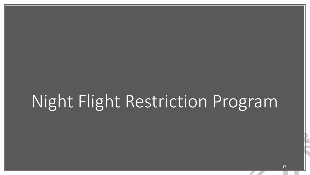# Night Flight Restriction Program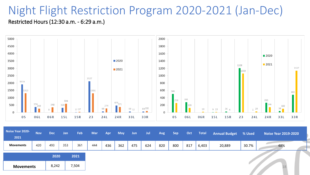# Night Flight Restriction Program 2020-2021 (Jan-Dec)





| Noise Year 2020-<br>2021 | <b>Nov</b> | <b>Dec</b> | Jan | <b>Feb</b> | <b>Mar</b> | Apr | <b>May</b> | <b>Jun</b> | Jul | Aug | <b>Sep</b> | Oct | <b>Total</b> | Annual Budget % Used |       | Noise Year $2019 - 2020$ |
|--------------------------|------------|------------|-----|------------|------------|-----|------------|------------|-----|-----|------------|-----|--------------|----------------------|-------|--------------------------|
| <b>Movements</b>         | 420        | 493        | 353 | 361        | 444        | 436 | 362        | 475        | 624 | 820 | 800        | 817 | 6,403        | 20,889               | 30.7% | 48%                      |
|                          |            | 2020       |     | 2021       |            |     |            |            |     |     |            |     |              |                      |       |                          |
| <b>Movements</b>         |            | 8,242      |     | 7,504      |            |     |            |            |     |     |            |     |              |                      |       | 18                       |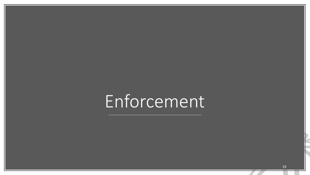# Enforcement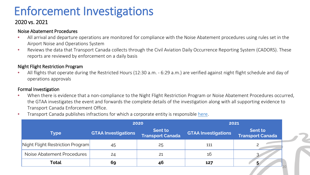### Enforcement Investigations

### 2020 vs. 2021

#### Noise Abatement Procedures

- All arrival and departure operations are monitored for compliance with the Noise Abatement procedures using rules set in the Airport Noise and Operations System
- Reviews the data that Transport Canada collects through the Civil Aviation Daily Occurrence Reporting System (CADORS). These reports are reviewed by enforcement on a daily basis

#### Night Flight Restriction Program

• All flights that operate during the Restricted Hours (12:30 a.m. - 6:29 a.m.) are verified against night flight schedule and day of operations approvals

#### Formal Investigation

- When there is evidence that a non-compliance to the Night Flight Restriction Program or Noise Abatement Procedures occurred, the GTAA investigates the event and forwards the complete details of the investigation along with all supporting evidence to Transport Canada Enforcement Office.
- Transport Canada publishes infractions for which a corporate entity is responsible [here](https://www.tc.gc.ca/eng/civilaviation/standards/standards-enforcement-publications-corporate-menu-680.htm).

|                                  |                            | 2020                                      | 2021                       |                                    |  |  |
|----------------------------------|----------------------------|-------------------------------------------|----------------------------|------------------------------------|--|--|
| <b>Type</b>                      | <b>GTAA Investigations</b> | <b>Sent to</b><br><b>Transport Canada</b> | <b>GTAA Investigations</b> | Sent to<br><b>Transport Canada</b> |  |  |
| Night Flight Restriction Program | 45                         | 25                                        | 111                        |                                    |  |  |
| Noise Abatement Procedures       | 24                         | 21                                        | 16                         |                                    |  |  |
| Total                            | 69                         | 46                                        | 127                        |                                    |  |  |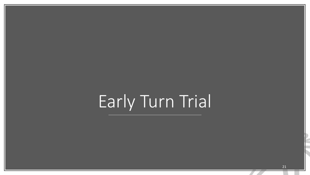# Early Turn Trial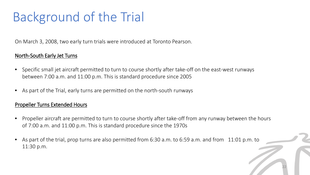## Background of the Trial

On March 3, 2008, two early turn trials were introduced at Toronto Pearson.

### North-South Early Jet Turns

- Specific small jet aircraft permitted to turn to course shortly after take-off on the east-west runways between 7:00 a.m. and 11:00 p.m. This is standard procedure since 2005
- As part of the Trial, early turns are permitted on the north-south runways

### Propeller Turns Extended Hours

- Propeller aircraft are permitted to turn to course shortly after take-off from any runway between the hours of 7:00 a.m. and 11:00 p.m. This is standard procedure since the 1970s
- As part of the trial, prop turns are also permitted from 6:30 a.m. to 6:59 a.m. and from 11:01 p.m. to 11:30 p.m.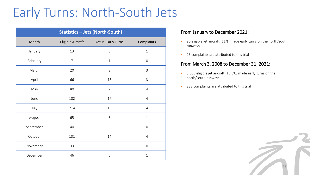### Early Turns: North-South Jets

| <b>Statistics - Jets (North-South)</b> |                   |                           |                  |  |  |  |  |  |
|----------------------------------------|-------------------|---------------------------|------------------|--|--|--|--|--|
| Month                                  | Eligible Aircraft | <b>Actual Early Turns</b> | Complaints       |  |  |  |  |  |
| January                                | 13                | 3                         | $\mathbf{1}$     |  |  |  |  |  |
| February                               | $\overline{7}$    | $\mathbf{1}$              | $\mathbf 0$      |  |  |  |  |  |
| March                                  | 20                | 3                         | 3                |  |  |  |  |  |
| April                                  | 66                | 13                        | 3                |  |  |  |  |  |
| May                                    | 80                | $\overline{7}$            | $\overline{4}$   |  |  |  |  |  |
| June                                   | 102               | 17                        | $\overline{4}$   |  |  |  |  |  |
| July                                   | 214               | 15                        | $\overline{4}$   |  |  |  |  |  |
| August                                 | 65                | 5                         | $\mathbf{1}$     |  |  |  |  |  |
| September                              | 40                | $\overline{3}$            | $\boldsymbol{0}$ |  |  |  |  |  |
| October                                | 131               | 14                        | $\overline{4}$   |  |  |  |  |  |
| November                               | 33                | $\overline{3}$            | $\mathbf 0$      |  |  |  |  |  |
| December                               | 46                | 6                         | $\mathbf{1}$     |  |  |  |  |  |

#### From January to December 2021:

- 90 eligible jet aircraft (11%) made early turns on the north/south runways
- 25 complaints are attributed to this trial

#### From March 3, 2008 to December 31, 2021:

- 3,363 eligible jet aircraft (15.8%) made early turns on the north/south runways
- 233 complaints are attributed to this trial